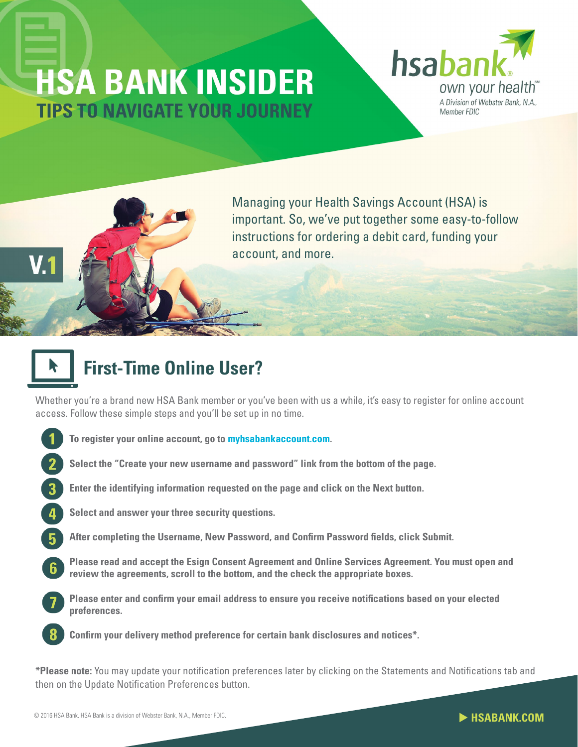## **HSA BANK INSIDER TIPS TO NAVIGATE YOUR JOURNEY**



Managing your Health Savings Account (HSA) is important. So, we've put together some easy-to-follow instructions for ordering a debit card, funding your account, and more.

## **First-Time Online User?**

Whether you're a brand new HSA Bank member or you've been with us a while, it's easy to register for online account access. Follow these simple steps and you'll be set up in no time.

- **To register your online account, go to [myhsabankaccount.com.](http://www.myhsabankaccount.com)**
- **Select the "Create your new username and password" link from the bottom of the page.**
- **Enter the identifying information requested on the page and click on the Next button.**
- **Select and answer your three security questions.**
- **After completing the Username, New Password, and Confirm Password fields, click Submit.**
- **Please read and accept the Esign Consent Agreement and Online Services Agreement. You must open and review the agreements, scroll to the bottom, and the check the appropriate boxes.**
- **Please enter and confirm your email address to ensure you receive notifications based on your elected preferences.**
	- **Confirm your delivery method preference for certain bank disclosures and notices\*.**

**\*Please note:** You may update your notification preferences later by clicking on the Statements and Notifications tab and then on the Update Notification Preferences button.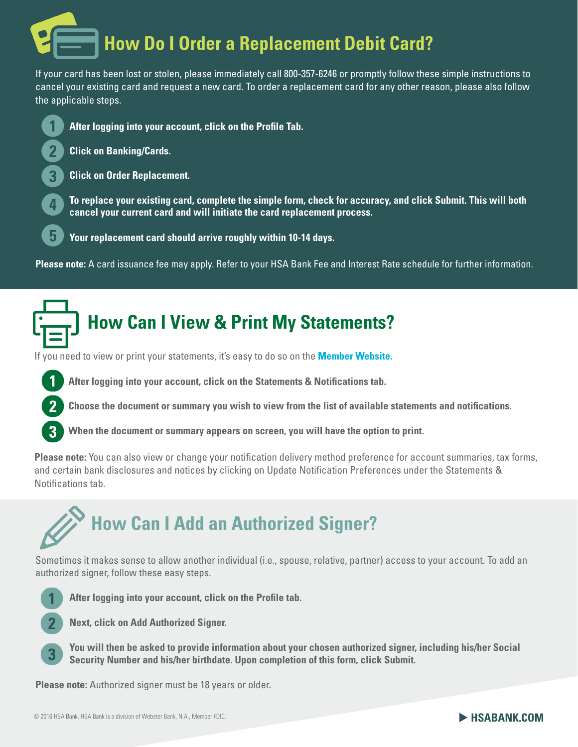# **How Do I Order a Replacement Debit Card?**

If your card has been lost or stolen, please immediately call 800-357-6246 or promptly follow these simple instructions to cancel your existing card and request a new card. To order a replacement card for any other reason, please also follow the applicable steps.



**After logging into your account, click on the Profile Tab.**

- **Click on Banking/Cards.**
- **Click on Order Replacement.**

**To replace your existing card, complete the simple form, check for accuracy, and click Submit. This will both cancel your current card and will initiate the card replacement process.**

**Your replacement card should arrive roughly within 10-14 days.** 

**Please note:** A card issuance fee may apply. Refer to your HSA Bank Fee and Interest Rate schedule for further information.

### **How Can I View & Print My Statements?**

If you need to view or print your statements, it's easy to do so on the **[Member Website.](https://myaccounts.hsabank.com/Login.aspx)** 



**Choose the document or summary you wish to view from the list of available statements and notifications.**

**When the document or summary appears on screen, you will have the option to print.**

**Please note:** You can also view or change your notification delivery method preference for account summaries, tax forms, and certain bank disclosures and notices by clicking on Update Notification Preferences under the Statements & Notifications tab.

## **How Can I Add an Authorized Signer?**

Sometimes it makes sense to allow another individual (i.e., spouse, relative, partner) access to your account. To add an authorized signer, follow these easy steps.



**After logging into your account, click on the Profile tab.**

**Next, click on Add Authorized Signer.**

**You will then be asked to provide information about your chosen authorized signer, including his/her Social Security Number and his/her birthdate. Upon completion of this form, click Submit.** 

**Please note:** Authorized signer must be 18 years or older.